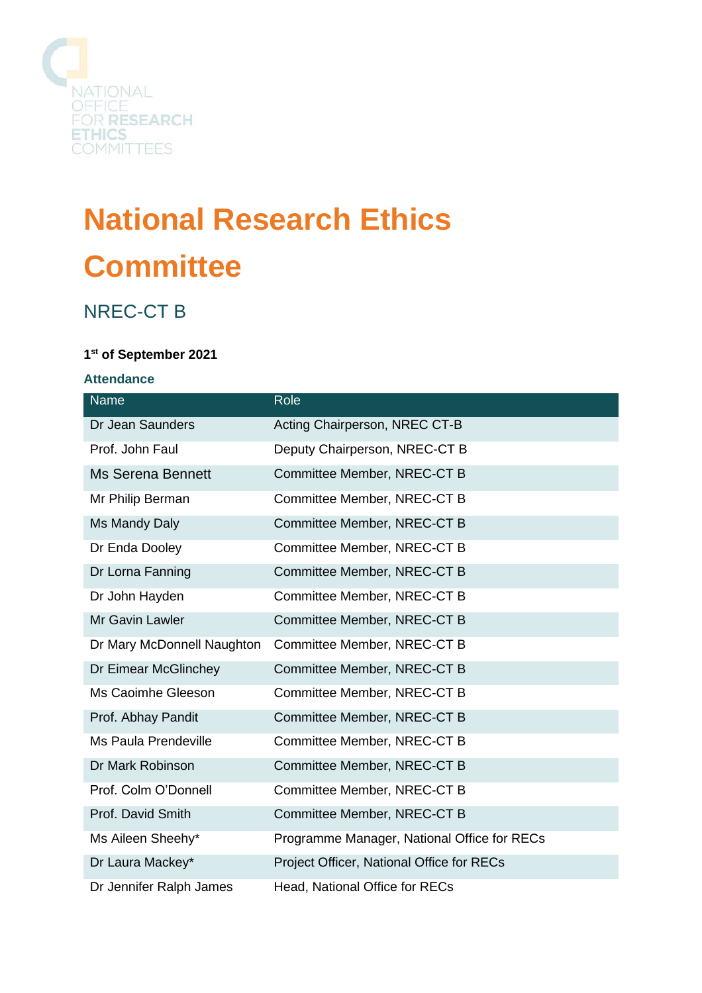

# **National Research Ethics Committee**

# NREC-CT B

# **1 st of September 2021**

#### **Attendance**

| Name                       | Role                                        |
|----------------------------|---------------------------------------------|
| Dr Jean Saunders           | Acting Chairperson, NREC CT-B               |
| Prof. John Faul            | Deputy Chairperson, NREC-CT B               |
| <b>Ms Serena Bennett</b>   | Committee Member, NREC-CT B                 |
| Mr Philip Berman           | Committee Member, NREC-CT B                 |
| Ms Mandy Daly              | Committee Member, NREC-CT B                 |
| Dr Enda Dooley             | Committee Member, NREC-CT B                 |
| Dr Lorna Fanning           | Committee Member, NREC-CT B                 |
| Dr John Hayden             | Committee Member, NREC-CT B                 |
| <b>Mr Gavin Lawler</b>     | Committee Member, NREC-CT B                 |
| Dr Mary McDonnell Naughton | Committee Member, NREC-CT B                 |
| Dr Eimear McGlinchey       | Committee Member, NREC-CT B                 |
| Ms Caoimhe Gleeson         | Committee Member, NREC-CT B                 |
| Prof. Abhay Pandit         | Committee Member, NREC-CT B                 |
| Ms Paula Prendeville       | Committee Member, NREC-CT B                 |
| Dr Mark Robinson           | Committee Member, NREC-CT B                 |
| Prof. Colm O'Donnell       | Committee Member, NREC-CT B                 |
| Prof. David Smith          | Committee Member, NREC-CT B                 |
| Ms Aileen Sheehy*          | Programme Manager, National Office for RECs |
| Dr Laura Mackey*           | Project Officer, National Office for RECs   |
| Dr Jennifer Ralph James    | Head, National Office for RECs              |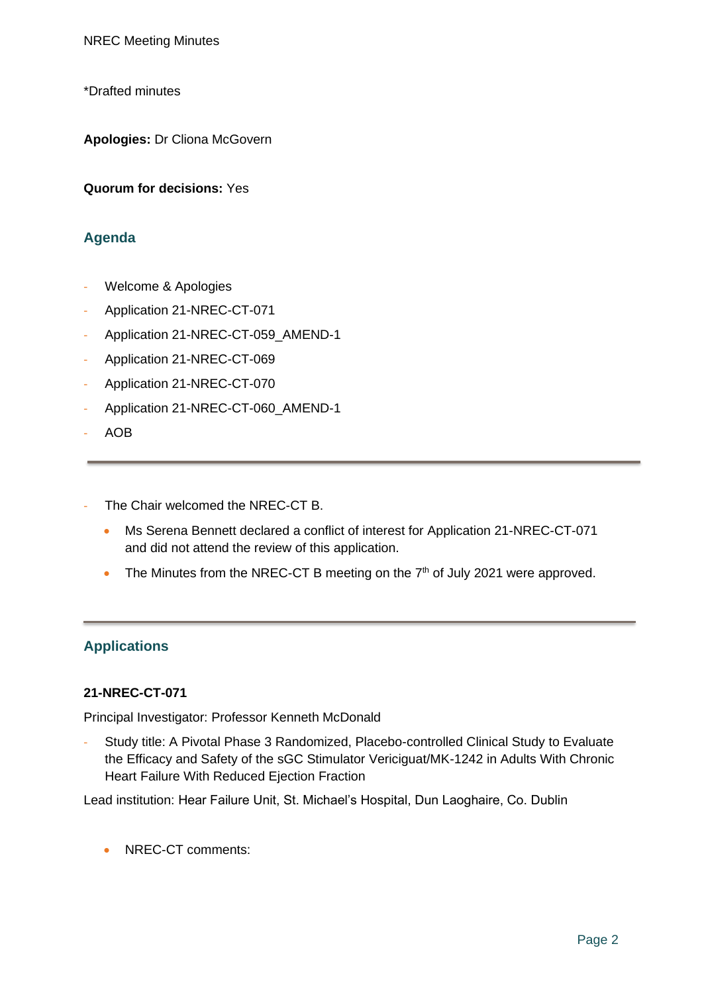\*Drafted minutes

**Apologies:** Dr Cliona McGovern

**Quorum for decisions:** Yes

# **Agenda**

- Welcome & Apologies
- Application 21-NREC-CT-071
- Application 21-NREC-CT-059\_AMEND-1
- Application 21-NREC-CT-069
- Application 21-NREC-CT-070
- Application 21-NREC-CT-060\_AMEND-1
- AOB
- The Chair welcomed the NREC-CT B.
	- Ms Serena Bennett declared a conflict of interest for Application 21-NREC-CT-071 and did not attend the review of this application.
	- The Minutes from the NREC-CT B meeting on the  $7<sup>th</sup>$  of July 2021 were approved.

# **Applications**

#### **21-NREC-CT-071**

Principal Investigator: Professor Kenneth McDonald

Study title: A Pivotal Phase 3 Randomized, Placebo-controlled Clinical Study to Evaluate the Efficacy and Safety of the sGC Stimulator Vericiguat/MK-1242 in Adults With Chronic Heart Failure With Reduced Ejection Fraction

Lead institution: Hear Failure Unit, St. Michael's Hospital, Dun Laoghaire, Co. Dublin

• NREC-CT comments: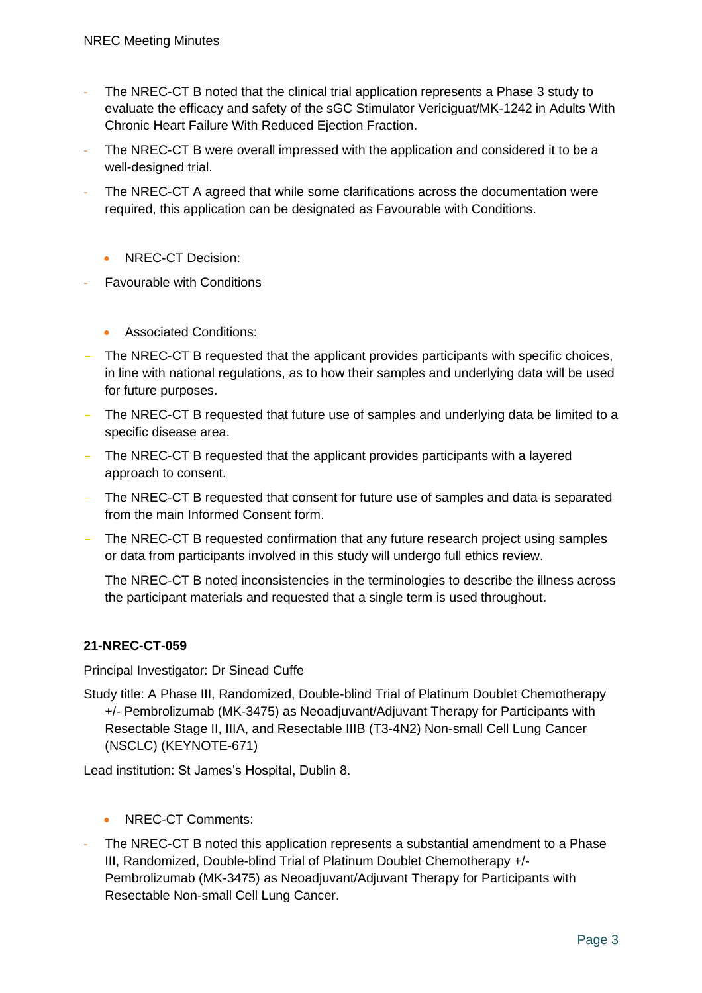- The NREC-CT B noted that the clinical trial application represents a Phase 3 study to evaluate the efficacy and safety of the sGC Stimulator Vericiguat/MK-1242 in Adults With Chronic Heart Failure With Reduced Ejection Fraction.
- The NREC-CT B were overall impressed with the application and considered it to be a well-designed trial.
- The NREC-CT A agreed that while some clarifications across the documentation were required, this application can be designated as Favourable with Conditions.
	- NREC-CT Decision:
- **Favourable with Conditions** 
	- Associated Conditions:
- The NREC-CT B requested that the applicant provides participants with specific choices, in line with national regulations, as to how their samples and underlying data will be used for future purposes.
- The NREC-CT B requested that future use of samples and underlying data be limited to a specific disease area.
- The NREC-CT B requested that the applicant provides participants with a layered approach to consent.
- The NREC-CT B requested that consent for future use of samples and data is separated from the main Informed Consent form.
- The NREC-CT B requested confirmation that any future research project using samples or data from participants involved in this study will undergo full ethics review.

The NREC-CT B noted inconsistencies in the terminologies to describe the illness across the participant materials and requested that a single term is used throughout.

#### **21-NREC-CT-059**

Principal Investigator: Dr Sinead Cuffe

Study title: A Phase III, Randomized, Double-blind Trial of Platinum Doublet Chemotherapy +/- Pembrolizumab (MK-3475) as Neoadjuvant/Adjuvant Therapy for Participants with Resectable Stage II, IIIA, and Resectable IIIB (T3-4N2) Non-small Cell Lung Cancer (NSCLC) (KEYNOTE-671)

Lead institution: St James's Hospital, Dublin 8.

- NREC-CT Comments:
- The NREC-CT B noted this application represents a substantial amendment to a Phase III, Randomized, Double-blind Trial of Platinum Doublet Chemotherapy +/- Pembrolizumab (MK-3475) as Neoadjuvant/Adjuvant Therapy for Participants with Resectable Non-small Cell Lung Cancer.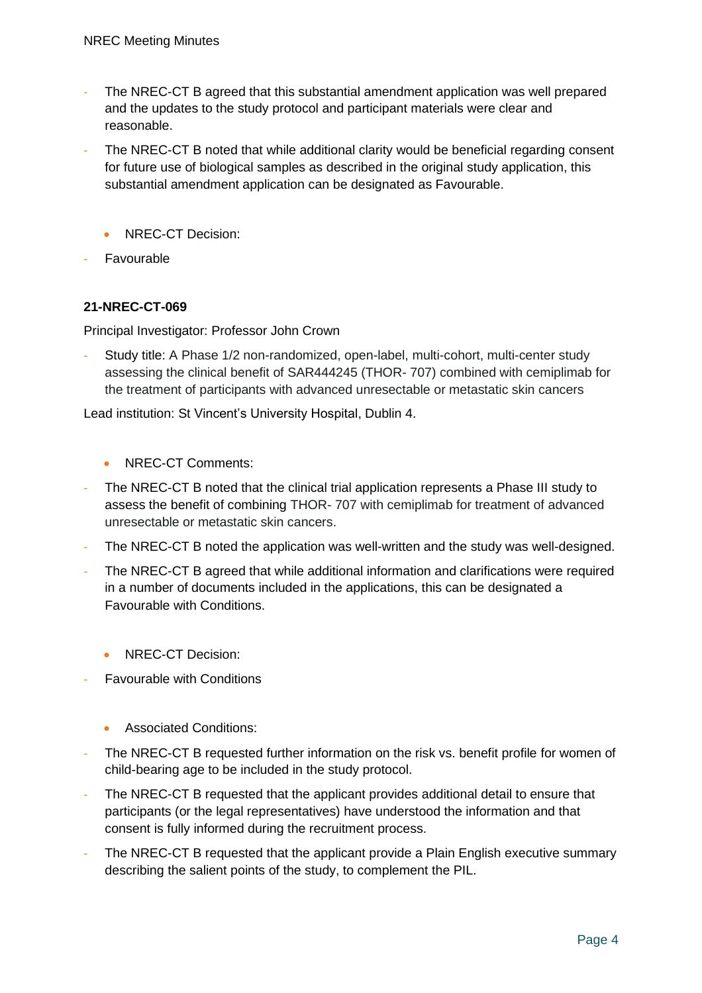- The NREC-CT B agreed that this substantial amendment application was well prepared and the updates to the study protocol and participant materials were clear and reasonable.
- The NREC-CT B noted that while additional clarity would be beneficial regarding consent for future use of biological samples as described in the original study application, this substantial amendment application can be designated as Favourable.
	- NREC-CT Decision:
- **Favourable**

#### **21-NREC-CT-069**

Principal Investigator: Professor John Crown

Study title: A Phase 1/2 non-randomized, open-label, multi-cohort, multi-center study assessing the clinical benefit of SAR444245 (THOR- 707) combined with cemiplimab for the treatment of participants with advanced unresectable or metastatic skin cancers

Lead institution: St Vincent's University Hospital, Dublin 4.

- NREC-CT Comments:
- The NREC-CT B noted that the clinical trial application represents a Phase III study to assess the benefit of combining THOR- 707 with cemiplimab for treatment of advanced unresectable or metastatic skin cancers.
- The NREC-CT B noted the application was well-written and the study was well-designed.
- The NREC-CT B agreed that while additional information and clarifications were required in a number of documents included in the applications, this can be designated a Favourable with Conditions.
	- NREC-CT Decision:
- **Favourable with Conditions** 
	- Associated Conditions:
- The NREC-CT B requested further information on the risk vs. benefit profile for women of child-bearing age to be included in the study protocol.
- The NREC-CT B requested that the applicant provides additional detail to ensure that participants (or the legal representatives) have understood the information and that consent is fully informed during the recruitment process.
- The NREC-CT B requested that the applicant provide a Plain English executive summary describing the salient points of the study, to complement the PIL.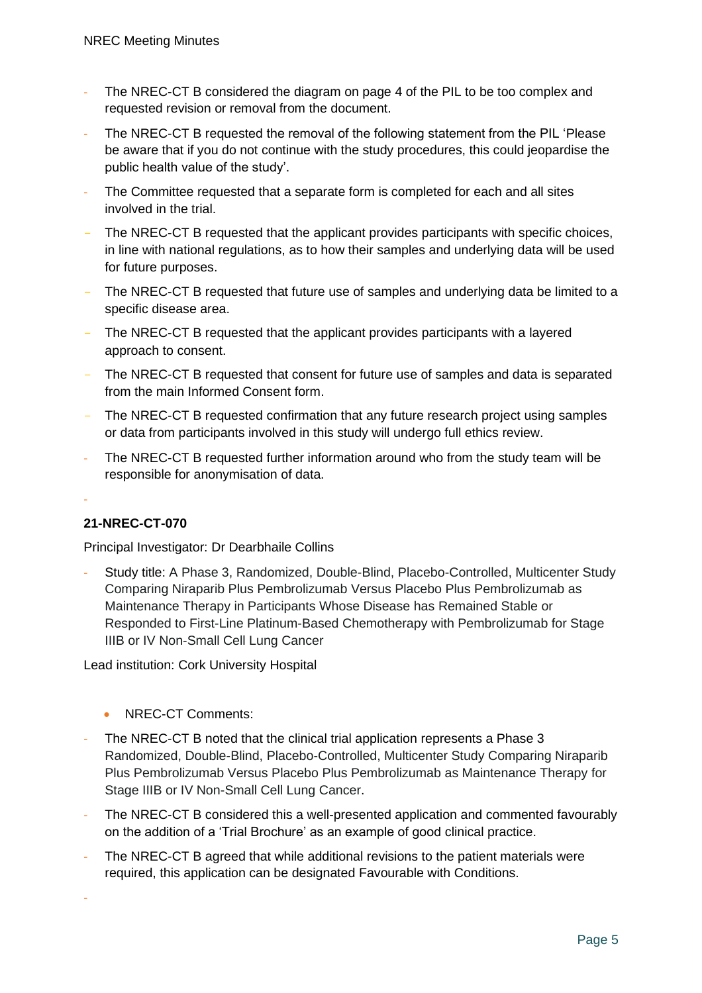- The NREC-CT B considered the diagram on page 4 of the PIL to be too complex and requested revision or removal from the document.
- The NREC-CT B requested the removal of the following statement from the PIL 'Please be aware that if you do not continue with the study procedures, this could jeopardise the public health value of the study'.
- The Committee requested that a separate form is completed for each and all sites involved in the trial.
- The NREC-CT B requested that the applicant provides participants with specific choices, in line with national regulations, as to how their samples and underlying data will be used for future purposes.
- The NREC-CT B requested that future use of samples and underlying data be limited to a specific disease area.
- The NREC-CT B requested that the applicant provides participants with a layered approach to consent.
- The NREC-CT B requested that consent for future use of samples and data is separated from the main Informed Consent form.
- The NREC-CT B requested confirmation that any future research project using samples or data from participants involved in this study will undergo full ethics review.
- The NREC-CT B requested further information around who from the study team will be responsible for anonymisation of data.

# **21-NREC-CT-070**

-

-

Principal Investigator: Dr Dearbhaile Collins

- Study title: A Phase 3, Randomized, Double-Blind, Placebo-Controlled, Multicenter Study Comparing Niraparib Plus Pembrolizumab Versus Placebo Plus Pembrolizumab as Maintenance Therapy in Participants Whose Disease has Remained Stable or Responded to First-Line Platinum-Based Chemotherapy with Pembrolizumab for Stage IIIB or IV Non-Small Cell Lung Cancer

Lead institution: Cork University Hospital

- NREC-CT Comments:
- The NREC-CT B noted that the clinical trial application represents a Phase 3 Randomized, Double-Blind, Placebo-Controlled, Multicenter Study Comparing Niraparib Plus Pembrolizumab Versus Placebo Plus Pembrolizumab as Maintenance Therapy for Stage IIIB or IV Non-Small Cell Lung Cancer.
- The NREC-CT B considered this a well-presented application and commented favourably on the addition of a 'Trial Brochure' as an example of good clinical practice.
- The NREC-CT B agreed that while additional revisions to the patient materials were required, this application can be designated Favourable with Conditions.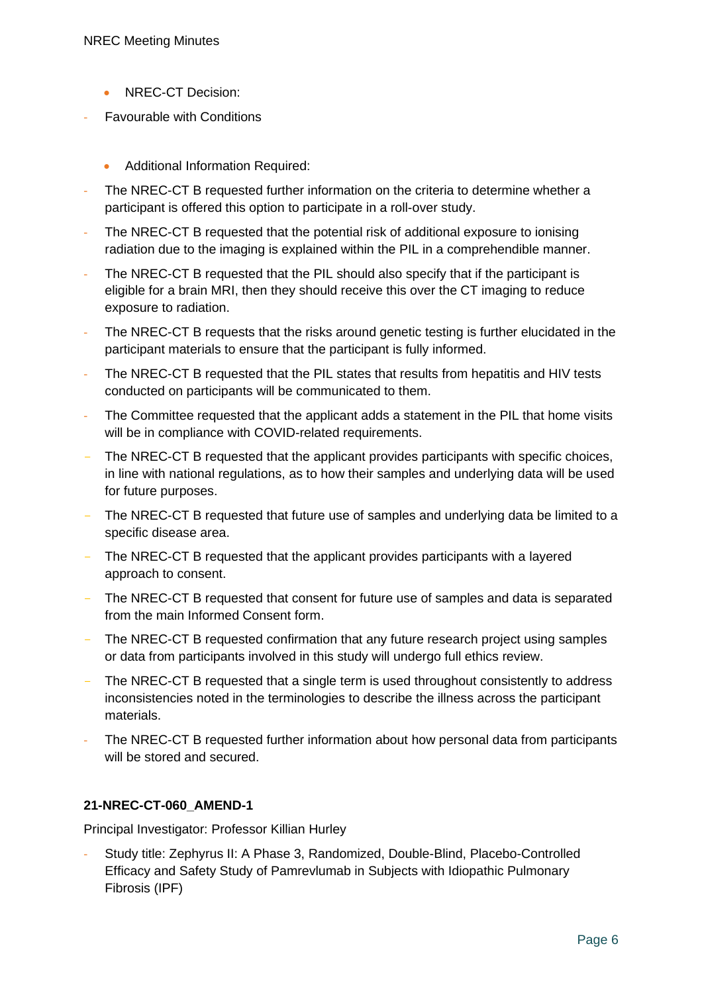- NREC-CT Decision:
- **Favourable with Conditions** 
	- Additional Information Required:
- The NREC-CT B requested further information on the criteria to determine whether a participant is offered this option to participate in a roll-over study.
- The NREC-CT B requested that the potential risk of additional exposure to ionising radiation due to the imaging is explained within the PIL in a comprehendible manner.
- The NREC-CT B requested that the PIL should also specify that if the participant is eligible for a brain MRI, then they should receive this over the CT imaging to reduce exposure to radiation.
- The NREC-CT B requests that the risks around genetic testing is further elucidated in the participant materials to ensure that the participant is fully informed.
- The NREC-CT B requested that the PIL states that results from hepatitis and HIV tests conducted on participants will be communicated to them.
- The Committee requested that the applicant adds a statement in the PIL that home visits will be in compliance with COVID-related requirements.
- The NREC-CT B requested that the applicant provides participants with specific choices, in line with national regulations, as to how their samples and underlying data will be used for future purposes.
- The NREC-CT B requested that future use of samples and underlying data be limited to a specific disease area.
- The NREC-CT B requested that the applicant provides participants with a layered approach to consent.
- The NREC-CT B requested that consent for future use of samples and data is separated from the main Informed Consent form.
- The NREC-CT B requested confirmation that any future research project using samples or data from participants involved in this study will undergo full ethics review.
- The NREC-CT B requested that a single term is used throughout consistently to address inconsistencies noted in the terminologies to describe the illness across the participant materials.
- The NREC-CT B requested further information about how personal data from participants will be stored and secured.

#### **21-NREC-CT-060\_AMEND-1**

Principal Investigator: Professor Killian Hurley

Study title: Zephyrus II: A Phase 3, Randomized, Double-Blind, Placebo-Controlled Efficacy and Safety Study of Pamrevlumab in Subjects with Idiopathic Pulmonary Fibrosis (IPF)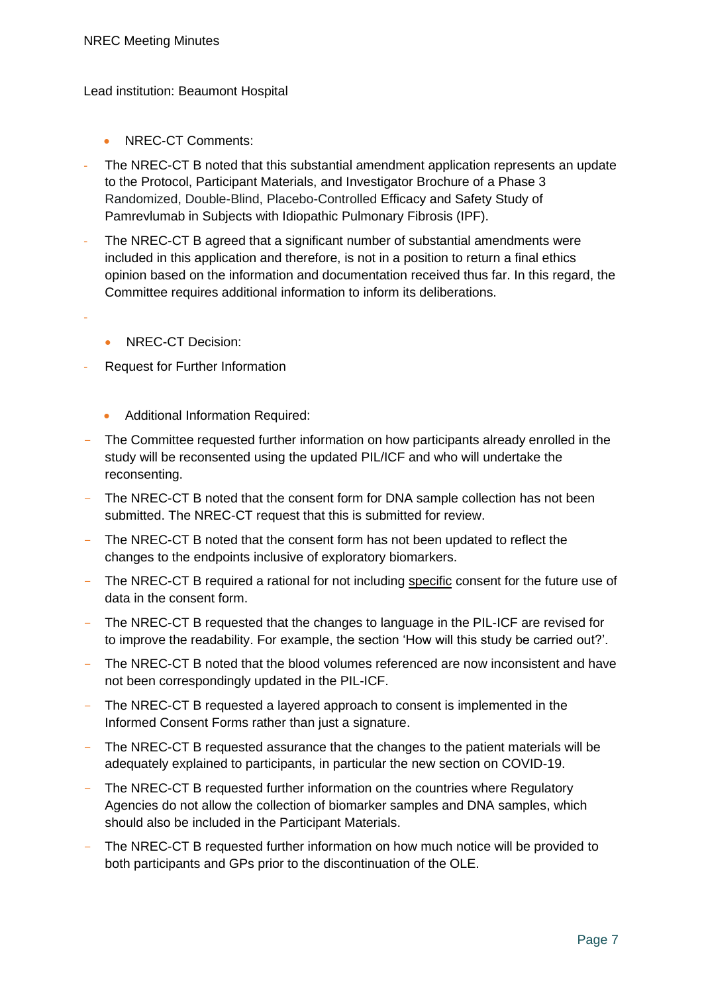Lead institution: Beaumont Hospital

- NREC-CT Comments:
- The NREC-CT B noted that this substantial amendment application represents an update to the Protocol, Participant Materials, and Investigator Brochure of a Phase 3 Randomized, Double-Blind, Placebo-Controlled Efficacy and Safety Study of Pamrevlumab in Subjects with Idiopathic Pulmonary Fibrosis (IPF).
- The NREC-CT B agreed that a significant number of substantial amendments were included in this application and therefore, is not in a position to return a final ethics opinion based on the information and documentation received thus far. In this regard, the Committee requires additional information to inform its deliberations.
- -
- NREC-CT Decision:
- Request for Further Information
	- Additional Information Required:
- The Committee requested further information on how participants already enrolled in the study will be reconsented using the updated PIL/ICF and who will undertake the reconsenting.
- The NREC-CT B noted that the consent form for DNA sample collection has not been submitted. The NREC-CT request that this is submitted for review.
- The NREC-CT B noted that the consent form has not been updated to reflect the changes to the endpoints inclusive of exploratory biomarkers.
- The NREC-CT B required a rational for not including specific consent for the future use of data in the consent form.
- The NREC-CT B requested that the changes to language in the PIL-ICF are revised for to improve the readability. For example, the section 'How will this study be carried out?'.
- The NREC-CT B noted that the blood volumes referenced are now inconsistent and have not been correspondingly updated in the PIL-ICF.
- The NREC-CT B requested a layered approach to consent is implemented in the Informed Consent Forms rather than just a signature.
- The NREC-CT B requested assurance that the changes to the patient materials will be adequately explained to participants, in particular the new section on COVID-19.
- The NREC-CT B requested further information on the countries where Regulatory Agencies do not allow the collection of biomarker samples and DNA samples, which should also be included in the Participant Materials.
- The NREC-CT B requested further information on how much notice will be provided to both participants and GPs prior to the discontinuation of the OLE.